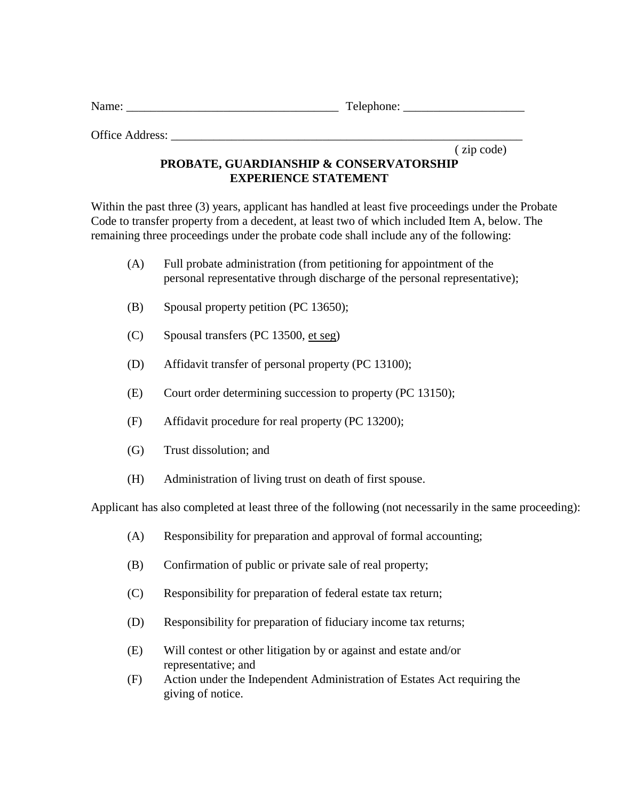| Name: | ┳<br>Telephone: |
|-------|-----------------|
|-------|-----------------|

Office Address:

( zip code)

## **PROBATE, GUARDIANSHIP & CONSERVATORSHIP EXPERIENCE STATEMENT**

Within the past three (3) years, applicant has handled at least five proceedings under the Probate Code to transfer property from a decedent, at least two of which included Item A, below. The remaining three proceedings under the probate code shall include any of the following:

- (A) Full probate administration (from petitioning for appointment of the personal representative through discharge of the personal representative);
- (B) Spousal property petition (PC 13650);
- (C) Spousal transfers (PC 13500, et seg)
- (D) Affidavit transfer of personal property (PC 13100);
- (E) Court order determining succession to property (PC 13150);
- (F) Affidavit procedure for real property (PC 13200);
- (G) Trust dissolution; and
- (H) Administration of living trust on death of first spouse.

Applicant has also completed at least three of the following (not necessarily in the same proceeding):

- (A) Responsibility for preparation and approval of formal accounting;
- (B) Confirmation of public or private sale of real property;
- (C) Responsibility for preparation of federal estate tax return;
- (D) Responsibility for preparation of fiduciary income tax returns;
- (E) Will contest or other litigation by or against and estate and/or representative; and
- (F) Action under the Independent Administration of Estates Act requiring the giving of notice.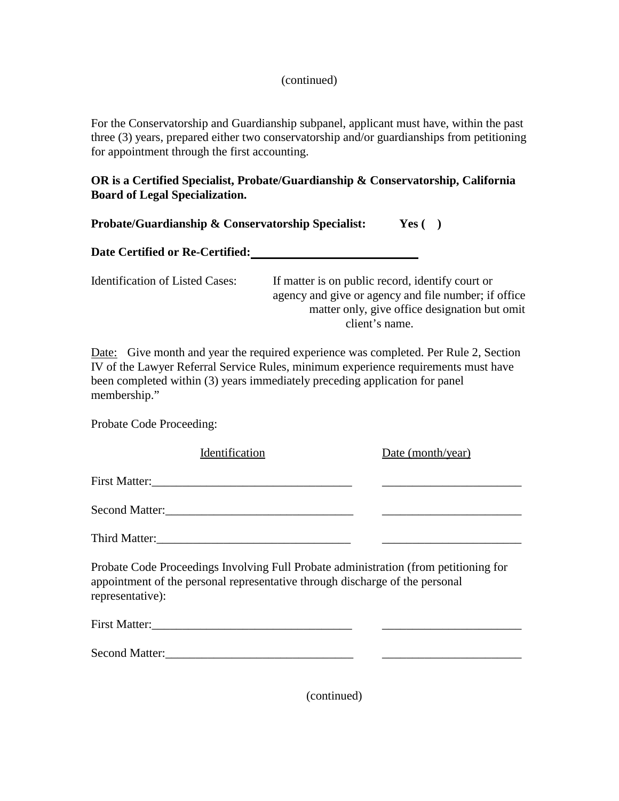## (continued)

For the Conservatorship and Guardianship subpanel, applicant must have, within the past three (3) years, prepared either two conservatorship and/or guardianships from petitioning for appointment through the first accounting.

## **OR is a Certified Specialist, Probate/Guardianship & Conservatorship, California Board of Legal Specialization.**

| <b>Probate/Guardianship &amp; Conservatorship Specialist:</b> | Yes $($ $)$ |  |
|---------------------------------------------------------------|-------------|--|
|---------------------------------------------------------------|-------------|--|

| Date Certified or Re-Certified: |  |
|---------------------------------|--|
|                                 |  |

| <b>Identification of Listed Cases:</b> | If matter is on public record, identify court or     |
|----------------------------------------|------------------------------------------------------|
|                                        | agency and give or agency and file number; if office |
|                                        | matter only, give office designation but omit        |
|                                        | client's name.                                       |

Date: Give month and year the required experience was completed. Per Rule 2, Section IV of the Lawyer Referral Service Rules, minimum experience requirements must have been completed within (3) years immediately preceding application for panel membership."

Probate Code Proceeding:

| Identification                                                                                                                                                                           | Date (month/year) |
|------------------------------------------------------------------------------------------------------------------------------------------------------------------------------------------|-------------------|
|                                                                                                                                                                                          |                   |
|                                                                                                                                                                                          |                   |
|                                                                                                                                                                                          |                   |
| Probate Code Proceedings Involving Full Probate administration (from petitioning for<br>appointment of the personal representative through discharge of the personal<br>representative): |                   |
|                                                                                                                                                                                          |                   |
| <b>Second Matter:</b>                                                                                                                                                                    |                   |

(continued)